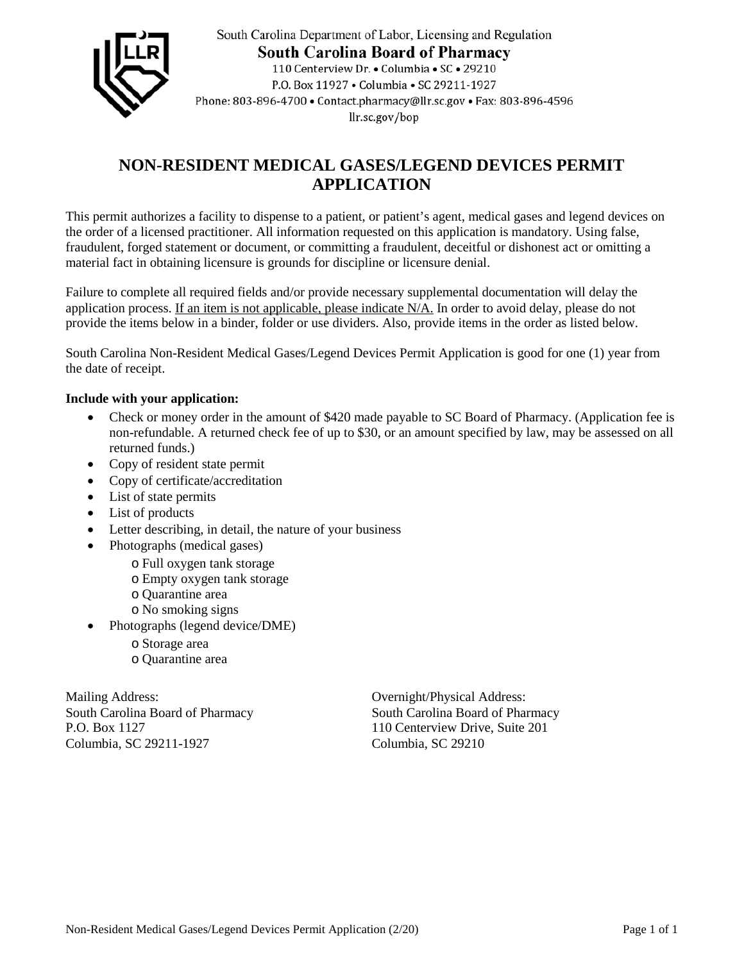

South Carolina Department of Labor, Licensing and Regulation **South Carolina Board of Pharmacy** 110 Centerview Dr. • Columbia • SC • 29210 P.O. Box 11927 . Columbia . SC 29211-1927 Phone: 803-896-4700 · Contact.pharmacy@llr.sc.gov · Fax: 803-896-4596 llr.sc.gov/bop

## **NON-RESIDENT MEDICAL GASES/LEGEND DEVICES PERMIT APPLICATION**

This permit authorizes a facility to dispense to a patient, or patient's agent, medical gases and legend devices on the order of a licensed practitioner. All information requested on this application is mandatory. Using false, fraudulent, forged statement or document, or committing a fraudulent, deceitful or dishonest act or omitting a material fact in obtaining licensure is grounds for discipline or licensure denial.

Failure to complete all required fields and/or provide necessary supplemental documentation will delay the application process. If an item is not applicable, please indicate N/A. In order to avoid delay, please do not provide the items below in a binder, folder or use dividers. Also, provide items in the order as listed below.

South Carolina Non-Resident Medical Gases/Legend Devices Permit Application is good for one (1) year from the date of receipt.

## **Include with your application:**

- Check or money order in the amount of \$420 made payable to SC Board of Pharmacy. (Application fee is non-refundable. A returned check fee of up to \$30, or an amount specified by law, may be assessed on all returned funds.)
- Copy of resident state permit
- Copy of certificate/accreditation
- List of state permits
- List of products
- Letter describing, in detail, the nature of your business
- Photographs (medical gases)
	- o Full oxygen tank storage
	- o Empty oxygen tank storage
	- o Quarantine area
	- o No smoking signs
- Photographs (legend device/DME)
	- o Storage area
	- o Quarantine area

Mailing Address: Overnight/Physical Address: P.O. Box 1127 110 Centerview Drive, Suite 201 Columbia, SC 29211-1927 Columbia, SC 29210

South Carolina Board of Pharmacy South Carolina Board of Pharmacy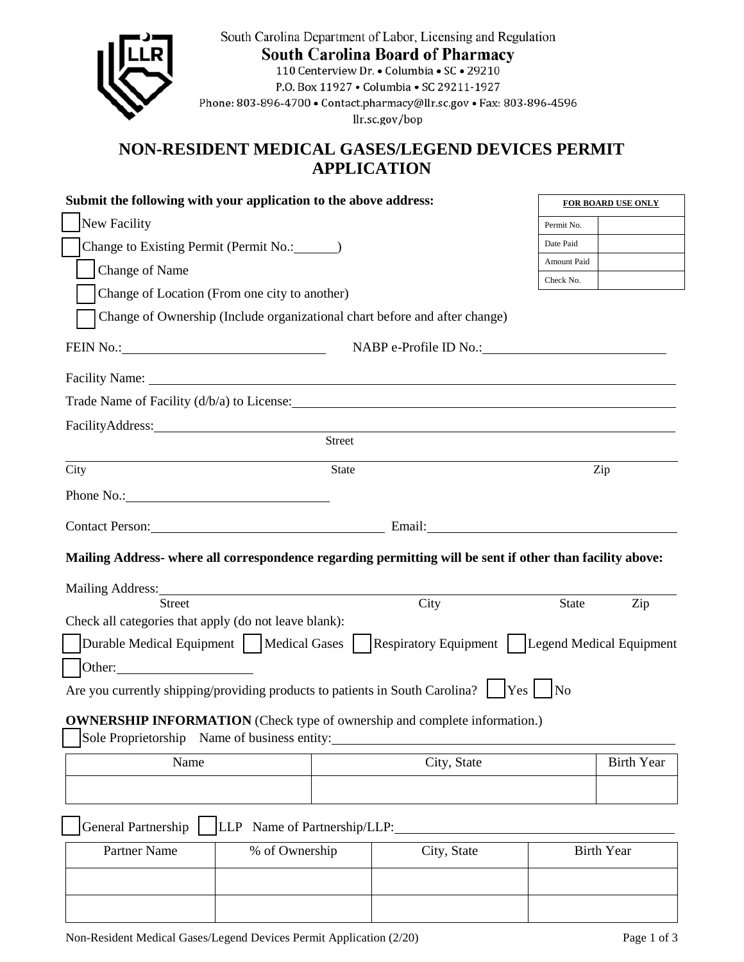| NON-RESIDENT MEDICAL GASES/LEGEND DEVICES PERMIT<br><b>APPLICATION</b><br>Submit the following with your application to the above address:<br><b>FOR BOARD USE ONLY</b><br>New Facility<br>Permit No.<br>Date Paid<br>Change to Existing Permit (Permit No.: ________)<br>Amount Paid<br>Change of Name<br>Check No.<br>Change of Location (From one city to another)<br>Change of Ownership (Include organizational chart before and after change)<br>FEIN No.: CONSERVERSION NO.:<br>NABP e-Profile ID No.:<br>Street<br>City<br><b>State</b><br>Zip<br>Phone No.: No.:<br>Contact Person: Email: Email:<br>Mailing Address- where all correspondence regarding permitting will be sent if other than facility above:<br>Mailing Address:<br>City<br><b>Street</b><br><b>State</b><br>Zip<br>Check all categories that apply (do not leave blank):<br>Durable Medical Equipment     Medical Gases<br><b>Respiratory Equipment</b><br>Legend Medical Equipment<br>Other:<br>Are you currently shipping/providing products to patients in South Carolina?<br> Yes <br>$\log$<br><b>OWNERSHIP INFORMATION</b> (Check type of ownership and complete information.)<br>Sole Proprietorship Name of business entity:<br>City, State<br>Name<br><b>Birth Year</b><br>General Partnership<br>LLP Name of Partnership/LLP:<br>Partner Name<br><b>Birth Year</b><br>% of Ownership<br>City, State |  |  | South Carolina Department of Labor, Licensing and Regulation<br><b>South Carolina Board of Pharmacy</b><br>110 Centerview Dr. • Columbia • SC • 29210<br>P.O. Box 11927 . Columbia . SC 29211-1927<br>Phone: 803-896-4700 · Contact.pharmacy@llr.sc.gov · Fax: 803-896-4596<br>llr.sc.gov/bop |  |  |
|-------------------------------------------------------------------------------------------------------------------------------------------------------------------------------------------------------------------------------------------------------------------------------------------------------------------------------------------------------------------------------------------------------------------------------------------------------------------------------------------------------------------------------------------------------------------------------------------------------------------------------------------------------------------------------------------------------------------------------------------------------------------------------------------------------------------------------------------------------------------------------------------------------------------------------------------------------------------------------------------------------------------------------------------------------------------------------------------------------------------------------------------------------------------------------------------------------------------------------------------------------------------------------------------------------------------------------------------------------------------------------------------|--|--|-----------------------------------------------------------------------------------------------------------------------------------------------------------------------------------------------------------------------------------------------------------------------------------------------|--|--|
|                                                                                                                                                                                                                                                                                                                                                                                                                                                                                                                                                                                                                                                                                                                                                                                                                                                                                                                                                                                                                                                                                                                                                                                                                                                                                                                                                                                           |  |  |                                                                                                                                                                                                                                                                                               |  |  |
|                                                                                                                                                                                                                                                                                                                                                                                                                                                                                                                                                                                                                                                                                                                                                                                                                                                                                                                                                                                                                                                                                                                                                                                                                                                                                                                                                                                           |  |  |                                                                                                                                                                                                                                                                                               |  |  |
|                                                                                                                                                                                                                                                                                                                                                                                                                                                                                                                                                                                                                                                                                                                                                                                                                                                                                                                                                                                                                                                                                                                                                                                                                                                                                                                                                                                           |  |  |                                                                                                                                                                                                                                                                                               |  |  |
|                                                                                                                                                                                                                                                                                                                                                                                                                                                                                                                                                                                                                                                                                                                                                                                                                                                                                                                                                                                                                                                                                                                                                                                                                                                                                                                                                                                           |  |  |                                                                                                                                                                                                                                                                                               |  |  |
|                                                                                                                                                                                                                                                                                                                                                                                                                                                                                                                                                                                                                                                                                                                                                                                                                                                                                                                                                                                                                                                                                                                                                                                                                                                                                                                                                                                           |  |  |                                                                                                                                                                                                                                                                                               |  |  |
|                                                                                                                                                                                                                                                                                                                                                                                                                                                                                                                                                                                                                                                                                                                                                                                                                                                                                                                                                                                                                                                                                                                                                                                                                                                                                                                                                                                           |  |  |                                                                                                                                                                                                                                                                                               |  |  |
|                                                                                                                                                                                                                                                                                                                                                                                                                                                                                                                                                                                                                                                                                                                                                                                                                                                                                                                                                                                                                                                                                                                                                                                                                                                                                                                                                                                           |  |  |                                                                                                                                                                                                                                                                                               |  |  |
|                                                                                                                                                                                                                                                                                                                                                                                                                                                                                                                                                                                                                                                                                                                                                                                                                                                                                                                                                                                                                                                                                                                                                                                                                                                                                                                                                                                           |  |  |                                                                                                                                                                                                                                                                                               |  |  |
|                                                                                                                                                                                                                                                                                                                                                                                                                                                                                                                                                                                                                                                                                                                                                                                                                                                                                                                                                                                                                                                                                                                                                                                                                                                                                                                                                                                           |  |  |                                                                                                                                                                                                                                                                                               |  |  |
|                                                                                                                                                                                                                                                                                                                                                                                                                                                                                                                                                                                                                                                                                                                                                                                                                                                                                                                                                                                                                                                                                                                                                                                                                                                                                                                                                                                           |  |  |                                                                                                                                                                                                                                                                                               |  |  |
|                                                                                                                                                                                                                                                                                                                                                                                                                                                                                                                                                                                                                                                                                                                                                                                                                                                                                                                                                                                                                                                                                                                                                                                                                                                                                                                                                                                           |  |  |                                                                                                                                                                                                                                                                                               |  |  |
|                                                                                                                                                                                                                                                                                                                                                                                                                                                                                                                                                                                                                                                                                                                                                                                                                                                                                                                                                                                                                                                                                                                                                                                                                                                                                                                                                                                           |  |  |                                                                                                                                                                                                                                                                                               |  |  |
|                                                                                                                                                                                                                                                                                                                                                                                                                                                                                                                                                                                                                                                                                                                                                                                                                                                                                                                                                                                                                                                                                                                                                                                                                                                                                                                                                                                           |  |  |                                                                                                                                                                                                                                                                                               |  |  |
|                                                                                                                                                                                                                                                                                                                                                                                                                                                                                                                                                                                                                                                                                                                                                                                                                                                                                                                                                                                                                                                                                                                                                                                                                                                                                                                                                                                           |  |  |                                                                                                                                                                                                                                                                                               |  |  |
|                                                                                                                                                                                                                                                                                                                                                                                                                                                                                                                                                                                                                                                                                                                                                                                                                                                                                                                                                                                                                                                                                                                                                                                                                                                                                                                                                                                           |  |  |                                                                                                                                                                                                                                                                                               |  |  |
|                                                                                                                                                                                                                                                                                                                                                                                                                                                                                                                                                                                                                                                                                                                                                                                                                                                                                                                                                                                                                                                                                                                                                                                                                                                                                                                                                                                           |  |  |                                                                                                                                                                                                                                                                                               |  |  |
|                                                                                                                                                                                                                                                                                                                                                                                                                                                                                                                                                                                                                                                                                                                                                                                                                                                                                                                                                                                                                                                                                                                                                                                                                                                                                                                                                                                           |  |  |                                                                                                                                                                                                                                                                                               |  |  |
|                                                                                                                                                                                                                                                                                                                                                                                                                                                                                                                                                                                                                                                                                                                                                                                                                                                                                                                                                                                                                                                                                                                                                                                                                                                                                                                                                                                           |  |  |                                                                                                                                                                                                                                                                                               |  |  |
|                                                                                                                                                                                                                                                                                                                                                                                                                                                                                                                                                                                                                                                                                                                                                                                                                                                                                                                                                                                                                                                                                                                                                                                                                                                                                                                                                                                           |  |  |                                                                                                                                                                                                                                                                                               |  |  |
|                                                                                                                                                                                                                                                                                                                                                                                                                                                                                                                                                                                                                                                                                                                                                                                                                                                                                                                                                                                                                                                                                                                                                                                                                                                                                                                                                                                           |  |  |                                                                                                                                                                                                                                                                                               |  |  |
|                                                                                                                                                                                                                                                                                                                                                                                                                                                                                                                                                                                                                                                                                                                                                                                                                                                                                                                                                                                                                                                                                                                                                                                                                                                                                                                                                                                           |  |  |                                                                                                                                                                                                                                                                                               |  |  |
|                                                                                                                                                                                                                                                                                                                                                                                                                                                                                                                                                                                                                                                                                                                                                                                                                                                                                                                                                                                                                                                                                                                                                                                                                                                                                                                                                                                           |  |  |                                                                                                                                                                                                                                                                                               |  |  |
|                                                                                                                                                                                                                                                                                                                                                                                                                                                                                                                                                                                                                                                                                                                                                                                                                                                                                                                                                                                                                                                                                                                                                                                                                                                                                                                                                                                           |  |  |                                                                                                                                                                                                                                                                                               |  |  |
|                                                                                                                                                                                                                                                                                                                                                                                                                                                                                                                                                                                                                                                                                                                                                                                                                                                                                                                                                                                                                                                                                                                                                                                                                                                                                                                                                                                           |  |  |                                                                                                                                                                                                                                                                                               |  |  |
|                                                                                                                                                                                                                                                                                                                                                                                                                                                                                                                                                                                                                                                                                                                                                                                                                                                                                                                                                                                                                                                                                                                                                                                                                                                                                                                                                                                           |  |  |                                                                                                                                                                                                                                                                                               |  |  |
|                                                                                                                                                                                                                                                                                                                                                                                                                                                                                                                                                                                                                                                                                                                                                                                                                                                                                                                                                                                                                                                                                                                                                                                                                                                                                                                                                                                           |  |  |                                                                                                                                                                                                                                                                                               |  |  |
|                                                                                                                                                                                                                                                                                                                                                                                                                                                                                                                                                                                                                                                                                                                                                                                                                                                                                                                                                                                                                                                                                                                                                                                                                                                                                                                                                                                           |  |  |                                                                                                                                                                                                                                                                                               |  |  |
|                                                                                                                                                                                                                                                                                                                                                                                                                                                                                                                                                                                                                                                                                                                                                                                                                                                                                                                                                                                                                                                                                                                                                                                                                                                                                                                                                                                           |  |  |                                                                                                                                                                                                                                                                                               |  |  |
|                                                                                                                                                                                                                                                                                                                                                                                                                                                                                                                                                                                                                                                                                                                                                                                                                                                                                                                                                                                                                                                                                                                                                                                                                                                                                                                                                                                           |  |  |                                                                                                                                                                                                                                                                                               |  |  |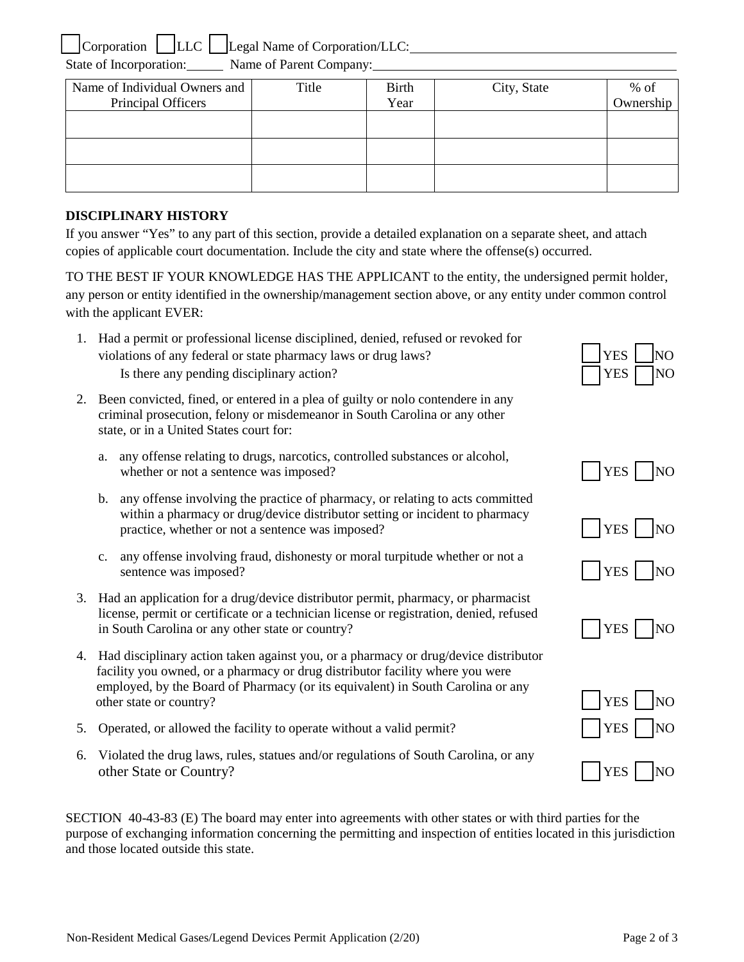Corporation  $\Box$  LLC  $\Box$  Legal Name of Corporation/LLC:

State of Incorporation: Name of Parent Company:

| <b>Birth</b> | City, State | $%$ of<br>Ownership |
|--------------|-------------|---------------------|
|              |             |                     |
|              |             |                     |
|              |             |                     |
| Title        | Year        |                     |

## **DISCIPLINARY HISTORY**

If you answer "Yes" to any part of this section, provide a detailed explanation on a separate sheet, and attach copies of applicable court documentation. Include the city and state where the offense(s) occurred.

TO THE BEST IF YOUR KNOWLEDGE HAS THE APPLICANT to the entity, the undersigned permit holder, any person or entity identified in the ownership/management section above, or any entity under common control with the applicant EVER:

- 1. Had a permit or professional license disciplined, denied, refused or revoked for violations of any federal or state pharmacy laws or drug laws? Is there any pending disciplinary action?
- 2. Been convicted, fined, or entered in a plea of guilty or nolo contendere in any criminal prosecution, felony or misdemeanor in South Carolina or any other state, or in a United States court for:
	- a. any offense relating to drugs, narcotics, controlled substances or alcohol, whether or not a sentence was imposed?
	- b. any offense involving the practice of pharmacy, or relating to acts committed within a pharmacy or drug/device distributor setting or incident to pharmacy practice, whether or not a sentence was imposed?  $YES$
	- c. any offense involving fraud, dishonesty or moral turpitude whether or not a sentence was imposed?
- 3. Had an application for a drug/device distributor permit, pharmacy, or pharmacist license, permit or certificate or a technician license or registration, denied, refused in South Carolina or any other state or country?  $\vert \vert$  YES  $\vert \vert$  NO
- 4. Had disciplinary action taken against you, or a pharmacy or drug/device distributor facility you owned, or a pharmacy or drug distributor facility where you were employed, by the Board of Pharmacy (or its equivalent) in South Carolina or any other state or country?
- 5. Operated, or allowed the facility to operate without a valid permit?
- 6. Violated the drug laws, rules, statues and/or regulations of South Carolina, or any other State or Country?

SECTION 40-43-83 (E) The board may enter into agreements with other states or with third parties for the purpose of exchanging information concerning the permitting and inspection of entities located in this jurisdiction and those located outside this state.

| Y E.S | JΩ              |
|-------|-----------------|
| YFS   | 10 <sup>1</sup> |



| \∣( |
|-----|
|-----|



| YES  | JΩ |
|------|----|
| Y ES |    |

|--|